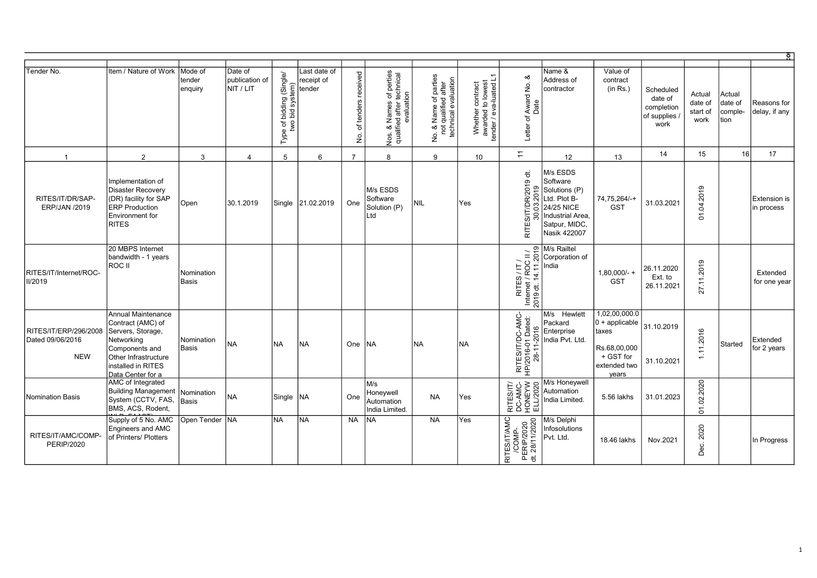| Tender No.                                              | Item / Nature of Work                                                                                                                                                  | Mode of<br>tender<br>enquiry | Date of<br>publication of<br>NIT / LIT | bidding (Single/<br>bid system)<br>ίщ,<br>$\rm 5$<br>two<br>Type | Last date of<br>receipt of<br>tender | received<br>of tenders<br>ِ<br>ع | Nos. & Names of perties<br>qualified after technical<br>evaluation | No. & Name of parties<br>not qualified after<br>technical evaluation<br>е.<br>2 | Whether contract<br>awarded to lowest<br>tender / eva-luated L1 | Award No. &<br>Date<br>Letter of                       | Name &<br>Address of<br>contractor                                                                                                                                                                                                                                                                                                                                                                                                                                                                                                                                         | Value of<br>contract<br>(in Rs.)                                                                  | Scheduled<br>date of<br>completion<br>of supplies<br>work | Actual<br>date of<br>start of<br>work | Actual<br>date of<br>comple-<br>tion | Reasons for<br>delay, if any      |
|---------------------------------------------------------|------------------------------------------------------------------------------------------------------------------------------------------------------------------------|------------------------------|----------------------------------------|------------------------------------------------------------------|--------------------------------------|----------------------------------|--------------------------------------------------------------------|---------------------------------------------------------------------------------|-----------------------------------------------------------------|--------------------------------------------------------|----------------------------------------------------------------------------------------------------------------------------------------------------------------------------------------------------------------------------------------------------------------------------------------------------------------------------------------------------------------------------------------------------------------------------------------------------------------------------------------------------------------------------------------------------------------------------|---------------------------------------------------------------------------------------------------|-----------------------------------------------------------|---------------------------------------|--------------------------------------|-----------------------------------|
| $\overline{1}$                                          | 2                                                                                                                                                                      | 3                            | 4                                      | 5                                                                | 6                                    | $\overline{7}$                   | 8                                                                  | 9                                                                               | 10                                                              | $\stackrel{\textstyle\sim}{\textstyle\sim}$            | 12                                                                                                                                                                                                                                                                                                                                                                                                                                                                                                                                                                         | 13                                                                                                | 14                                                        | 15                                    | 16                                   | 17                                |
| RITES/IT/DR/SAP-<br><b>ERP/JAN /2019</b>                | Implementation of<br>Disaster Recovery<br>(DR) facility for SAP<br><b>ERP Production</b><br>Environment for<br>RITES                                                   | Open                         | 30.1.2019                              | Single                                                           | 21.02.2019                           | One                              | M/s ESDS<br>Software<br>Solution (P)<br>Ltd                        | NIL                                                                             | Yes                                                             | ਚੋਂ<br>R/2019<br>ၜ<br>ద్ద<br>ξ<br>ຮ<br>20<br>RITES/I   | M/s ESDS<br>Software<br>Solutions (P)<br>Ltd. Plot B-<br><b>24/25 NICE</b><br>Industrial Area,<br>Satpur, MIDC,<br>Nasik 422007                                                                                                                                                                                                                                                                                                                                                                                                                                            | 74,75,264/-+<br><b>GST</b>                                                                        | 31.03.2021                                                | 2019<br>01.04.                        |                                      | <b>Extension</b> is<br>in process |
| RITES/IT/Internet/ROC-<br>II/2019                       | 20 MBPS Internet<br>bandwidth - 1 years<br>ROC II                                                                                                                      | Nomination<br><b>Basis</b>   |                                        |                                                                  |                                      |                                  |                                                                    |                                                                                 |                                                                 |                                                        | $\begin{array}{c}\n\angle \quad \text{if } \quad \text{if } \quad \text{if } \quad \text{if } \quad \text{if } \quad \text{if } \quad \text{if } \quad \text{if } \quad \text{if } \quad \text{if } \quad \text{if } \quad \text{if } \quad \text{if } \quad \text{if } \quad \text{if } \quad \text{if } \quad \text{if } \quad \text{if } \quad \text{if } \quad \text{if } \quad \text{if } \quad \text{if } \quad \text{if } \quad \text{if } \quad \text{if } \quad \text{if } \quad \text{if } \quad \text{if } \quad \text{if } \quad \text{if }$<br>Corporation of | $1,80,000/-$ +<br><b>GST</b>                                                                      | 26.11.2020<br>Ext. to<br>26.11.2021                       | 27.11.2019                            |                                      | Extended<br>for one year          |
| RITES/IT/ERP/296/2008<br>Dated 09/06/2016<br><b>NEW</b> | Annual Maintenance<br>Contract (AMC) of<br>Servers, Storage,<br>Networking<br>Components and<br><b>Other Infrastructure</b><br>installed in RITES<br>Data Center for a | Nomination<br><b>Basis</b>   | <b>NA</b>                              | <b>NA</b>                                                        | İNA                                  | One                              | INA.                                                               | <b>NA</b>                                                                       | <b>NA</b>                                                       | RITES/IT/DC-AMC-<br>HP/2016-01 Dated:<br>28-11-2016    | M/s Hewlett<br>Packard<br>Enterprise<br>India Pvt. Ltd.                                                                                                                                                                                                                                                                                                                                                                                                                                                                                                                    | 1,02,00,000.0<br>$ 0 +$ applicable<br>taxes<br>Rs.68,00,000<br>+ GST for<br>extended two<br>years | 31.10.2019<br>31.10.2021                                  | 1.11.2016                             | Started                              | Extended<br>for 2 years           |
| Nomination Basis                                        | AMC of Integrated<br>Building Management<br>System (CCTV, FAS,<br>BMS, ACS, Rodent,                                                                                    | Nomination<br>Basis          | <b>NA</b>                              | Single                                                           | <b>NA</b>                            | One                              | M/s<br>Honeywell<br>Automation<br>India Limited.                   | <b>NA</b>                                                                       | Yes                                                             | RITES/IT/<br>DC-AMC-<br>HONEYW<br>ELL/2020             | M/s Honeywell<br>Automation<br>India Limited.                                                                                                                                                                                                                                                                                                                                                                                                                                                                                                                              | 5.56 lakhs                                                                                        | 31.01.2023                                                | 01.02.2020                            |                                      |                                   |
| RITES/IT/AMC/COMP-<br><b>PERIP/2020</b>                 | Supply of 5 No. AMC<br><b>Engineers and AMC</b><br>of Printers/ Plotters                                                                                               | Open Tender NA               |                                        | <b>NA</b>                                                        | <b>INA</b>                           | <b>NA</b>                        | <b>INA</b>                                                         | <b>NA</b>                                                                       | Yes                                                             | RITES/IT/AMC<br>/COMP-<br>PERIP/2020<br>dt. 28/11/2020 | M/s Delphi<br>Infosolutions<br>Pvt. Ltd.                                                                                                                                                                                                                                                                                                                                                                                                                                                                                                                                   | 18.46 lakhs                                                                                       | Nov.2021                                                  | 2020<br>Dec.                          |                                      | In Progress                       |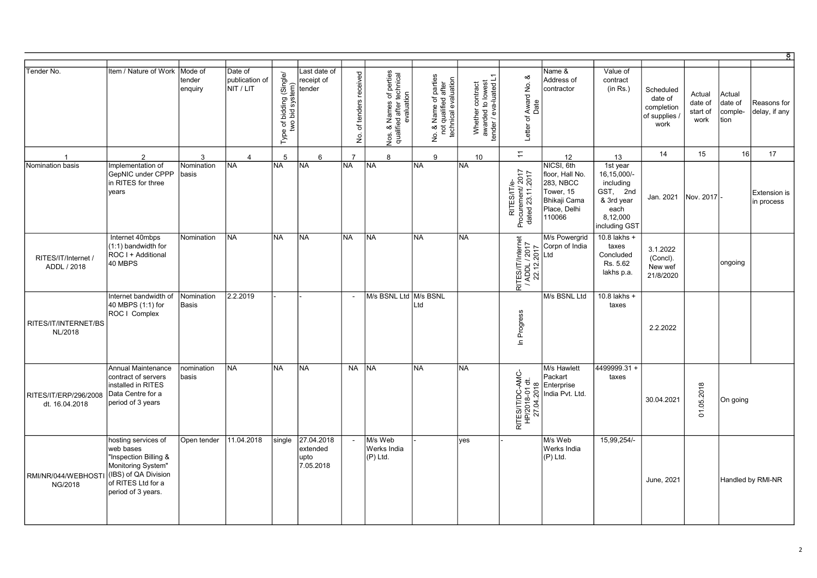| Tender No.                              | Item / Nature of Work                                                                                                                               | Mode of<br>tender<br>enquiry | Date of<br>publication of<br>NIT / LIT | bidding (Single/<br>bid system)<br>system)<br>Type of <b>b</b><br>two l | ast date of<br>eceipt of<br>tender          | received<br>of tenders<br>$\frac{\dot{\mathsf{Q}}}{\mathsf{Z}}$ | s of perties<br>technical<br>Nos. & Names of p<br>qualified after tech<br>evaluation | No. & Name of parties<br>not qualified after<br>technical evaluation | Whether contract<br>awarded to lowest<br>tender / eva-luated L1 | చ<br>Award No. &<br>Date<br>Letter of                | Name &<br>Address of<br>contractor                                                                       | Value of<br>contract<br>(in Rs.)                                                                    | Scheduled<br>date of<br>completion<br>of supplies /<br>work | Actual<br>date of<br>start of<br>work | Actual<br>date of<br>comple-<br>tion | Reasons for<br>delay, if any      |
|-----------------------------------------|-----------------------------------------------------------------------------------------------------------------------------------------------------|------------------------------|----------------------------------------|-------------------------------------------------------------------------|---------------------------------------------|-----------------------------------------------------------------|--------------------------------------------------------------------------------------|----------------------------------------------------------------------|-----------------------------------------------------------------|------------------------------------------------------|----------------------------------------------------------------------------------------------------------|-----------------------------------------------------------------------------------------------------|-------------------------------------------------------------|---------------------------------------|--------------------------------------|-----------------------------------|
|                                         | 2                                                                                                                                                   | 3                            | $\overline{4}$                         | 5                                                                       | 6                                           | $\overline{7}$                                                  | 8                                                                                    | 9                                                                    | 10                                                              | $\overline{z}$                                       | 12                                                                                                       | 13                                                                                                  | 14                                                          | 15                                    | 16                                   | 17                                |
| Nomination basis                        | Implementation of<br>GepNIC under CPPP<br>in RITES for three<br>years                                                                               | Nomination<br>basis          | <b>NA</b>                              | <b>NA</b>                                                               | <b>INA</b>                                  | <b>NA</b>                                                       | <b>NA</b>                                                                            | İNA                                                                  | <b>NA</b>                                                       | RITES/IT/e-<br>Procurement/ 2017<br>dated 23.11.2017 | NICSI, 6th<br>floor, Hall No.<br><b>283, NBCC</b><br>Tower, 15<br>Bhikaji Cama<br>Place, Delhi<br>110066 | 1st year<br>16,15,000/-<br>including<br>GST, 2nd<br>& 3rd year<br>each<br>8,12,000<br>including GST | Jan. 2021                                                   | Nov. 2017                             |                                      | <b>Extension</b> is<br>in process |
| RITES/IT/Internet /<br>ADDL / 2018      | Internet 40mbps<br>(1:1) bandwidth for<br>ROC I + Additional<br>40 MBPS                                                                             | Nomination                   | <b>NA</b>                              | <b>NA</b>                                                               | <b>INA</b>                                  | <b>NA</b>                                                       | <b>NA</b>                                                                            | İNA                                                                  | <b>NA</b>                                                       | RITES/IT/Internet<br> / ADDL / 2017<br>  22.12.2017  | M/s Powergrid<br>Corpn of India<br>Ltd                                                                   | 10.8 lakhs +<br>taxes<br>Concluded<br>Rs. 5.62<br>lakhs p.a.                                        | 3.1.2022<br>(Concl).<br>New wef<br>21/8/2020                |                                       | ongoing                              |                                   |
| RITES/IT/INTERNET/BS<br>NL/2018         | Internet bandwidth of<br>40 MBPS (1:1) for<br>ROC   Complex                                                                                         | Nomination<br>Basis          | 2.2.2019                               |                                                                         |                                             | $\sim$                                                          | M/s BSNL Ltd M/s BSNL                                                                | Ltd                                                                  |                                                                 | Progress<br>$\equiv$                                 | M/s BSNL Ltd                                                                                             | 10.8 lakhs +<br>taxes                                                                               | 2.2.2022                                                    |                                       |                                      |                                   |
| RITES/IT/ERP/296/2008<br>dt. 16.04.2018 | Annual Maintenance<br>contract of servers<br>installed in RITES<br>Data Centre for a<br>period of 3 years                                           | nomination<br>basis          | <b>NA</b>                              | <b>NA</b>                                                               | <b>NA</b>                                   | <b>NA</b>                                                       | INA.                                                                                 | <b>NA</b>                                                            | <b>NA</b>                                                       | RITES/IT/DC-AMC-<br>HP/2018-01 dt.<br>27.04.2018     | M/s Hawlett<br>Packart<br>Enterprise<br>India Pvt. Ltd.                                                  | 4499999.31+<br>taxes                                                                                | 30.04.2021                                                  | .05.2018<br>$\overline{5}$            | On going                             |                                   |
| RMI/NR/044/WEBHOSTI<br>NG/2018          | hosting services of<br>web bases<br>"Inspection Billing &<br>Monitoring System"<br>(IBS) of QA Division<br>of RITES Ltd for a<br>period of 3 years. | Open tender                  | 11.04.2018                             | single                                                                  | 27.04.2018<br>extended<br>upto<br>7.05.2018 | $\overline{\phantom{a}}$                                        | M/s Web<br>Werks India<br>$(P)$ Ltd.                                                 |                                                                      | yes                                                             |                                                      | M/s Web<br>Werks India<br>$(P)$ Ltd.                                                                     | 15.99.254/-                                                                                         | June, 2021                                                  |                                       |                                      | Handled by RMI-NR                 |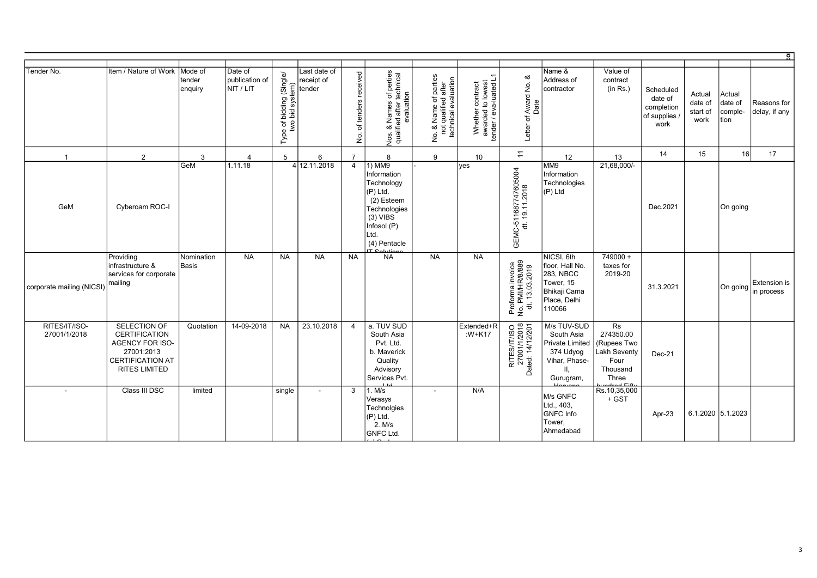| Tender No.                    | Item / Nature of Work                                                                                                           | Mode of<br>tender<br>enquiry | Date of<br>publication of<br>NIT / LIT | of bidding (Single/<br>wo bid system)<br>two<br>Type | Last date of<br>receipt of<br>ender | received<br>tenders<br>$\overline{\sigma}$<br>$\stackrel{\rm o}{\simeq}$ | Nos. & Names of perties<br>qualified after technical<br>evaluation<br>Nos.                                                                         | No. & Name of parties<br>not qualified after<br>technical evaluation | Σ<br>Whether contract<br>awarded to lowest<br>tender / eva-luated L | ంర<br>Award No.<br>Date<br>$\sigma$<br>Letter          | Name &<br>Address of<br>contractor                                                                | Value of<br>contract<br>(in Rs.)                                            | Scheduled<br>date of<br>completion<br>of supplies<br>work | Actual<br>date of<br>start of<br>work | Actual<br>date of<br>comple-<br>tion | Reasons for<br>delay, if any                   |
|-------------------------------|---------------------------------------------------------------------------------------------------------------------------------|------------------------------|----------------------------------------|------------------------------------------------------|-------------------------------------|--------------------------------------------------------------------------|----------------------------------------------------------------------------------------------------------------------------------------------------|----------------------------------------------------------------------|---------------------------------------------------------------------|--------------------------------------------------------|---------------------------------------------------------------------------------------------------|-----------------------------------------------------------------------------|-----------------------------------------------------------|---------------------------------------|--------------------------------------|------------------------------------------------|
| $\overline{1}$                | 2                                                                                                                               | 3                            | $\overline{4}$                         | 5                                                    | 6                                   | $\overline{7}$                                                           | 8                                                                                                                                                  | 9                                                                    | 10 <sup>1</sup>                                                     | $\overline{a}$                                         | 12                                                                                                | 13                                                                          | 14                                                        | 15                                    | 16                                   | 17                                             |
| GeM                           | Cyberoam ROC-I                                                                                                                  | GeM                          | 1.11.18                                |                                                      | 4 12.11.2018                        | $\overline{4}$                                                           | $1)$ MM9<br>Information<br>Technology<br>(P) Ltd.<br>(2) Esteem<br>Technologies<br>$(3)$ VIBS<br>Infosol (P)<br>Ltd.<br>(4) Pentacle<br>T Colution |                                                                      | yes                                                                 | GEMC-511687747605004<br>dt. 19.11.2018                 | MM9<br>Information<br>Technologies<br>(P) Ltd                                                     | 21,68,000/                                                                  | Dec.2021                                                  |                                       | On going                             |                                                |
| corporate mailing (NICSI)     | Providing<br>infrastructure &<br>services for corporate<br>mailing                                                              | Nomination<br>Basis          | <b>NA</b>                              | <b>NA</b>                                            | <b>NA</b>                           | <b>NA</b>                                                                | <b>NA</b>                                                                                                                                          | <b>NA</b>                                                            | <b>NA</b>                                                           | Proforma invoice<br>No. PMI/HR/8/889<br>dt. 13.03.2019 | NICSI, 6th<br>floor, Hall No.<br>283, NBCC<br>Tower, 15<br>Bhikaji Cama<br>Place, Delhi<br>110066 | 749000 +<br>taxes for<br>2019-20                                            | 31.3.2021                                                 |                                       |                                      | <b>Extension is</b><br>$ On going $ in process |
| RITES/IT/ISO-<br>27001/1/2018 | SELECTION OF<br><b>CERTIFICATION</b><br><b>AGENCY FOR ISO-</b><br>27001:2013<br><b>CERTIFICATION AT</b><br><b>RITES LIMITED</b> | Quotation                    | 14-09-2018                             | <b>NA</b>                                            | 23.10.2018                          | $\overline{4}$                                                           | a. TUV SUD<br>South Asia<br>Pvt. Ltd.<br>b. Maverick<br>Quality<br>Advisory<br>Services Pvt.                                                       |                                                                      | Extended+R<br>:W+K17                                                | RITES/IT/ISO<br>27001/1/2018<br>Dated: 14/12/201       | M/s TUV-SUD<br>South Asia<br>Private Limited<br>374 Udyog<br>Vihar, Phase-<br>Ш,<br>Gurugram,     | Rs<br>274350.00<br>(Rupees Two<br>_akh Seventy<br>Four<br>Thousand<br>Three | $Dec-21$                                                  |                                       |                                      |                                                |
| $\sim$                        | Class III DSC                                                                                                                   | limited                      |                                        | single                                               | $\sim$                              | 3                                                                        | 1. M/s<br>Verasys<br>Technolgies<br>(P) Ltd.<br>2. M/s<br><b>GNFC Ltd.</b>                                                                         | $\overline{\phantom{a}}$                                             | N/A                                                                 |                                                        | M/s GNFC<br>Ltd., 403,<br>GNFC Info<br>Tower,<br>Ahmedabad                                        | Rs.10,35,000<br>+ GST                                                       | Apr-23                                                    |                                       | 6.1.2020 5.1.2023                    |                                                |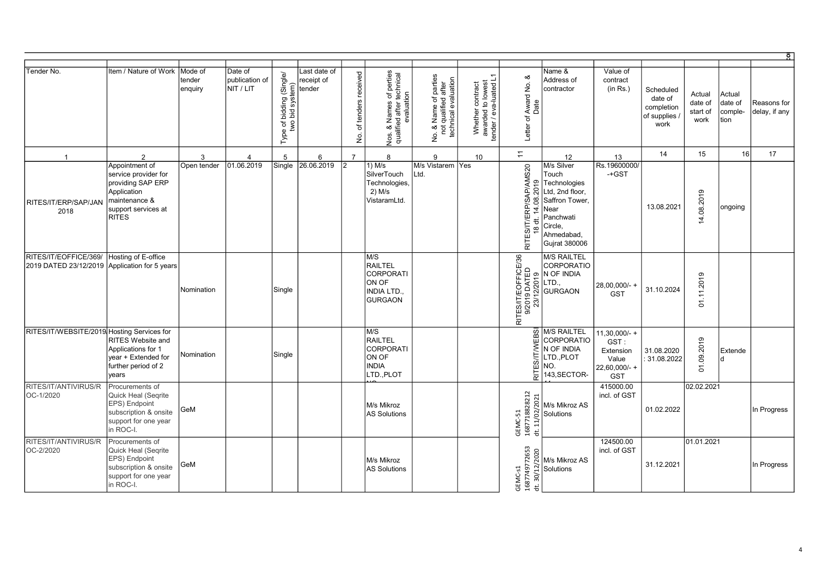|                                                                        |                                                                                                                                    |                              |                                         |                                                              |                                      |                                  |                                                                                           |                                                                                           |                                                                 |                                                              |                                                                                                                                                                                                                                                                                                                                                                                                                                                                    |                                                                             |                                                           |                                       |                                      | $\circ$                      |
|------------------------------------------------------------------------|------------------------------------------------------------------------------------------------------------------------------------|------------------------------|-----------------------------------------|--------------------------------------------------------------|--------------------------------------|----------------------------------|-------------------------------------------------------------------------------------------|-------------------------------------------------------------------------------------------|-----------------------------------------------------------------|--------------------------------------------------------------|--------------------------------------------------------------------------------------------------------------------------------------------------------------------------------------------------------------------------------------------------------------------------------------------------------------------------------------------------------------------------------------------------------------------------------------------------------------------|-----------------------------------------------------------------------------|-----------------------------------------------------------|---------------------------------------|--------------------------------------|------------------------------|
| Tender No.                                                             | Item / Nature of Work                                                                                                              | Mode of<br>tender<br>enquiry | Date of<br>Ipublication of<br>NIT / LIT | bidding (Single/<br>bid system)<br>Type of <b>b</b><br>two l | Last date of<br>receipt of<br>tender | received<br>of tenders<br>ِ<br>ع | Nos. & Names of perties<br>qualified after technical<br>evaluation                        | <b>Jo. &amp; Name of parties</b><br>not qualified after<br>technical evaluation<br>è<br>2 | Whether contract<br>awarded to lowest<br>tender / eva-luated L1 | ∞ర<br>Award No.<br>Letter of                                 | Name &<br>Address of<br>contractor                                                                                                                                                                                                                                                                                                                                                                                                                                 | Value of<br>contract<br>(in Rs.)                                            | Scheduled<br>date of<br>completion<br>of supplies<br>work | Actual<br>date of<br>start of<br>work | Actual<br>date of<br>comple-<br>tion | Reasons for<br>delay, if any |
| $\overline{1}$                                                         | 2                                                                                                                                  | 3                            | $\overline{4}$                          | 5                                                            | 6                                    | $\overline{7}$                   | 8                                                                                         | 9                                                                                         | 10 <sup>1</sup>                                                 | $\overline{r}$                                               | 12                                                                                                                                                                                                                                                                                                                                                                                                                                                                 | 13                                                                          | 14                                                        | 15                                    | 16                                   | 17                           |
| RITES/IT/ERP/SAP/JAN<br>2018                                           | Appointment of<br>service provider for<br>providing SAP ERP<br>Application<br>maintenance &<br>support services at<br><b>RITES</b> | Open tender                  | 01.06.2019                              | Single                                                       | 26.06.2019                           | 12                               | $1)$ M/s<br>SilverTouch<br>Technologies,<br>$2)$ M/s<br>VistaramLtd.                      | M/s Vistarem Yes<br>Ltd.                                                                  |                                                                 | AMS20<br>ഉ<br>ຊ<br>ÀP<br>. ප්<br>w<br>RITES/IT/ERP<br>₩<br>œ | M/s Silver<br>Touch<br>Technologies<br>Ltd, 2nd floor,<br>Saffron Tower,<br>र्च INear<br>Panchwati<br>Circle.<br>Ahmedabad.<br>Gujrat 380006                                                                                                                                                                                                                                                                                                                       | Rs.19600000/<br>$-$ +GST                                                    | 13.08.2021                                                | 14.08.2019                            | ongoing                              |                              |
| RITES/IT/EOFFICE/369/<br>2019 DATED 23/12/2019 Application for 5 years | Hosting of E-office                                                                                                                | Nomination                   |                                         | Single                                                       |                                      |                                  | M/S<br><b>RAILTEL</b><br><b>CORPORATI</b><br>ON OF<br><b>INDIA LTD.</b><br><b>GURGAON</b> |                                                                                           |                                                                 |                                                              | <b>M/S RAILTEL</b><br><b>EXECUTE DESCRIPTION AND REAL PROPERTY</b><br><b>EXECUTED</b><br><b>EXECUTED</b><br><b>EXECUTED</b><br><b>EXECUTED</b><br><b>EXECUTED</b><br><b>EXECUTED</b><br><b>EXECUTED</b><br><b>EXECUTED</b><br>CORPORATIO                                                                                                                                                                                                                           | 28,00,000/-<br><b>GST</b>                                                   | 31.10.2024                                                | .11.2019<br>$\overline{5}$            |                                      |                              |
| RITES/IT/WEBSITE/2019 Hosting Services for                             | RITES Website and<br>Applications for 1<br>year + Extended for<br>further period of 2<br>years                                     | Nomination                   |                                         | Single                                                       |                                      |                                  | M/S<br><b>RAILTEL</b><br><b>CORPORATI</b><br>ON OF<br><b>INDIA</b><br>LTD.,PLOT           |                                                                                           |                                                                 | <b>IWILISS</b><br>RITE.                                      | $\overline{\omega}$ M/S RAILTEL<br><b>CORPORATIO</b><br>N OF INDIA<br>LTD., PLOT<br>NO.<br>143, SECTOR-                                                                                                                                                                                                                                                                                                                                                            | $11,30,000/-$ +<br>GST:<br>Extension<br>Value<br>22,60,000/-+<br><b>GST</b> | 31.08.2020<br>31.08.2022                                  | 01.09.2019                            | Extende<br><sub>d</sub>              |                              |
| RITES/IT/ANTIVIRUS/R<br>OC-1/2020                                      | Procurements of<br>Quick Heal (Segrite<br>EPS) Endpoint<br>subscription & onsite<br>support for one year<br>in ROC-I.              | GeM                          |                                         |                                                              |                                      |                                  | M/s Mikroz<br><b>AS Solutions</b>                                                         |                                                                                           |                                                                 |                                                              | $\begin{array}{c c c} \multicolumn{3}{c }{\textbf{1}} & \multicolumn{3}{c }{\textbf{2}} \\ \multicolumn{3}{c }{\textbf{2}} & \multicolumn{3}{c }{\textbf{2}} \\ \multicolumn{3}{c }{\textbf{3}} & \multicolumn{3}{c }{\textbf{3}} \\ \multicolumn{3}{c }{\textbf{4}} & \multicolumn{3}{c }{\textbf{5}} \\ \multicolumn{3}{c }{\textbf{5}} & \multicolumn{3}{c }{\textbf{6}} \\ \multicolumn{3}{c }{\textbf{6}} & \multicolumn{3}{c }{\textbf{6}} \\ \multicolumn{$ | 415000.00<br>incl. of GST                                                   | 01.02.2022                                                | 02.02.2021                            |                                      | In Progress                  |
| RITES/IT/ANTIVIRUS/R<br>OC-2/2020                                      | Procurements of<br>Quick Heal (Segrite<br>EPS) Endpoint<br>subscription & onsite<br>support for one year<br>in ROC-I.              | GeM                          |                                         |                                                              |                                      |                                  | M/s Mikroz<br><b>AS Solutions</b>                                                         |                                                                                           |                                                                 | GEMC-s1<br>1687749772653<br>30/12/2020<br>$\pm$              | M/s Mikroz AS<br>Solutions                                                                                                                                                                                                                                                                                                                                                                                                                                         | 124500.00<br>incl. of GST                                                   | 31.12.2021                                                | 01.01.2021                            |                                      | In Progress                  |